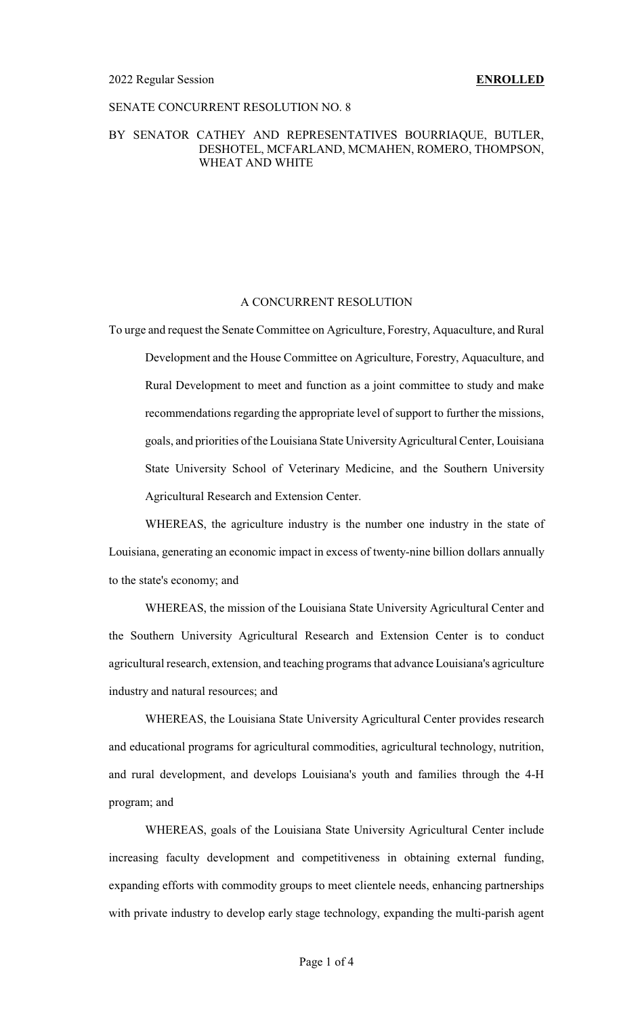## SENATE CONCURRENT RESOLUTION NO. 8

## BY SENATOR CATHEY AND REPRESENTATIVES BOURRIAQUE, BUTLER, DESHOTEL, MCFARLAND, MCMAHEN, ROMERO, THOMPSON, WHEAT AND WHITE

### A CONCURRENT RESOLUTION

To urge and request the Senate Committee on Agriculture, Forestry, Aquaculture, and Rural Development and the House Committee on Agriculture, Forestry, Aquaculture, and Rural Development to meet and function as a joint committee to study and make recommendations regarding the appropriate level of support to further the missions, goals, and priorities of the Louisiana State UniversityAgricultural Center, Louisiana State University School of Veterinary Medicine, and the Southern University Agricultural Research and Extension Center.

WHEREAS, the agriculture industry is the number one industry in the state of Louisiana, generating an economic impact in excess of twenty-nine billion dollars annually to the state's economy; and

WHEREAS, the mission of the Louisiana State University Agricultural Center and the Southern University Agricultural Research and Extension Center is to conduct agricultural research, extension, and teaching programs that advance Louisiana's agriculture industry and natural resources; and

WHEREAS, the Louisiana State University Agricultural Center provides research and educational programs for agricultural commodities, agricultural technology, nutrition, and rural development, and develops Louisiana's youth and families through the 4-H program; and

WHEREAS, goals of the Louisiana State University Agricultural Center include increasing faculty development and competitiveness in obtaining external funding, expanding efforts with commodity groups to meet clientele needs, enhancing partnerships with private industry to develop early stage technology, expanding the multi-parish agent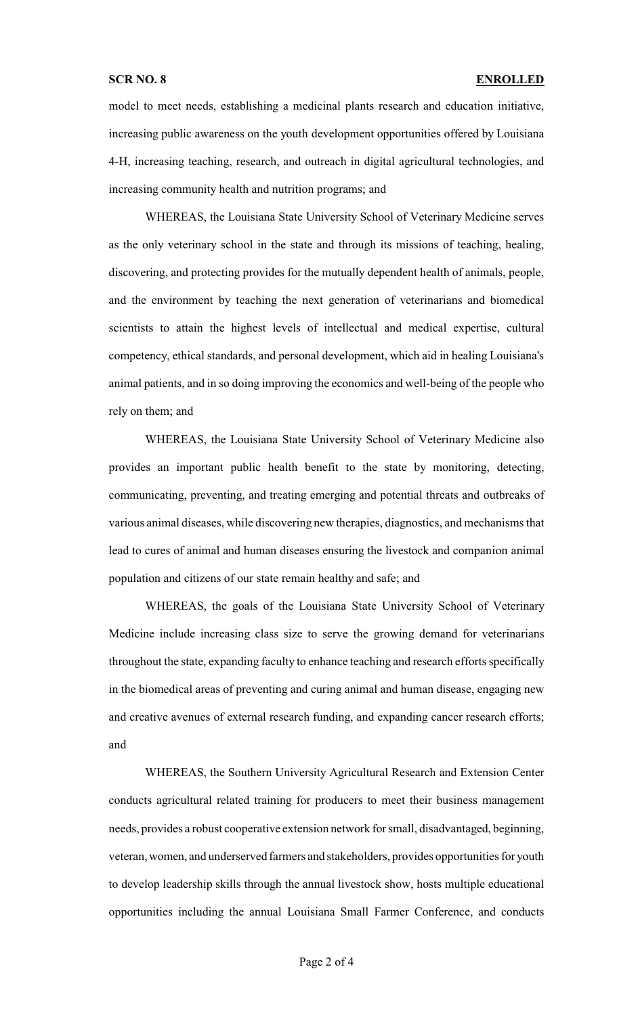model to meet needs, establishing a medicinal plants research and education initiative, increasing public awareness on the youth development opportunities offered by Louisiana 4-H, increasing teaching, research, and outreach in digital agricultural technologies, and increasing community health and nutrition programs; and

WHEREAS, the Louisiana State University School of Veterinary Medicine serves as the only veterinary school in the state and through its missions of teaching, healing, discovering, and protecting provides for the mutually dependent health of animals, people, and the environment by teaching the next generation of veterinarians and biomedical scientists to attain the highest levels of intellectual and medical expertise, cultural competency, ethical standards, and personal development, which aid in healing Louisiana's animal patients, and in so doing improving the economics and well-being of the people who rely on them; and

WHEREAS, the Louisiana State University School of Veterinary Medicine also provides an important public health benefit to the state by monitoring, detecting, communicating, preventing, and treating emerging and potential threats and outbreaks of various animal diseases, while discovering new therapies, diagnostics, and mechanisms that lead to cures of animal and human diseases ensuring the livestock and companion animal population and citizens of our state remain healthy and safe; and

WHEREAS, the goals of the Louisiana State University School of Veterinary Medicine include increasing class size to serve the growing demand for veterinarians throughout the state, expanding faculty to enhance teaching and research efforts specifically in the biomedical areas of preventing and curing animal and human disease, engaging new and creative avenues of external research funding, and expanding cancer research efforts; and

WHEREAS, the Southern University Agricultural Research and Extension Center conducts agricultural related training for producers to meet their business management needs, provides a robust cooperative extension network for small, disadvantaged, beginning, veteran, women, and underserved farmers and stakeholders, provides opportunities for youth to develop leadership skills through the annual livestock show, hosts multiple educational opportunities including the annual Louisiana Small Farmer Conference, and conducts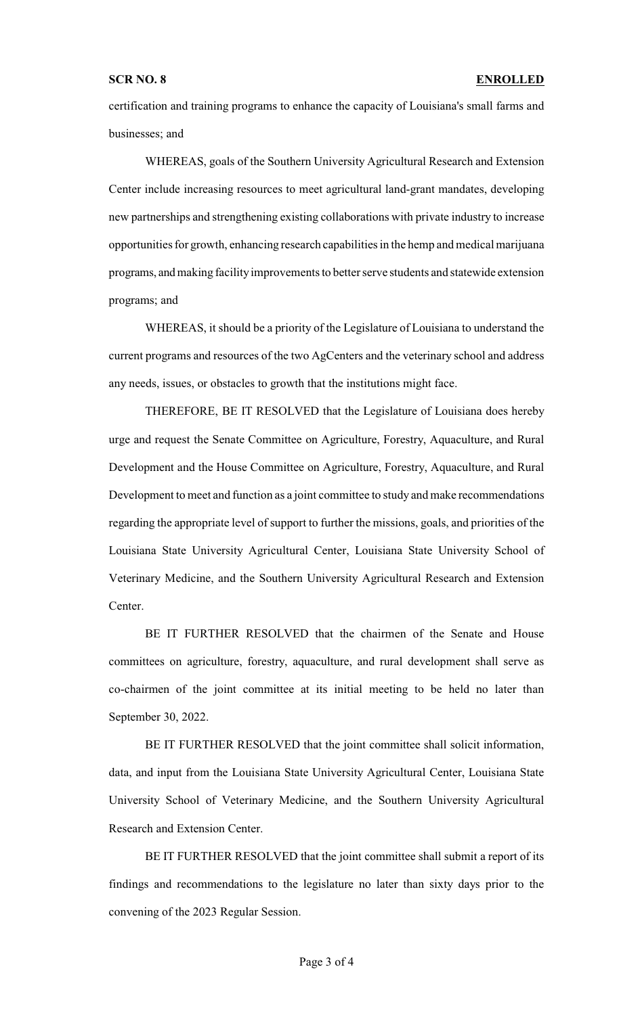certification and training programs to enhance the capacity of Louisiana's small farms and businesses; and

WHEREAS, goals of the Southern University Agricultural Research and Extension Center include increasing resources to meet agricultural land-grant mandates, developing new partnerships and strengthening existing collaborations with private industry to increase opportunities for growth, enhancing research capabilities in the hemp and medical marijuana programs, and making facility improvements to better serve students and statewide extension programs; and

WHEREAS, it should be a priority of the Legislature of Louisiana to understand the current programs and resources of the two AgCenters and the veterinary school and address any needs, issues, or obstacles to growth that the institutions might face.

THEREFORE, BE IT RESOLVED that the Legislature of Louisiana does hereby urge and request the Senate Committee on Agriculture, Forestry, Aquaculture, and Rural Development and the House Committee on Agriculture, Forestry, Aquaculture, and Rural Development to meet and function as a joint committee to study and make recommendations regarding the appropriate level of support to further the missions, goals, and priorities of the Louisiana State University Agricultural Center, Louisiana State University School of Veterinary Medicine, and the Southern University Agricultural Research and Extension Center.

BE IT FURTHER RESOLVED that the chairmen of the Senate and House committees on agriculture, forestry, aquaculture, and rural development shall serve as co-chairmen of the joint committee at its initial meeting to be held no later than September 30, 2022.

BE IT FURTHER RESOLVED that the joint committee shall solicit information, data, and input from the Louisiana State University Agricultural Center, Louisiana State University School of Veterinary Medicine, and the Southern University Agricultural Research and Extension Center.

BE IT FURTHER RESOLVED that the joint committee shall submit a report of its findings and recommendations to the legislature no later than sixty days prior to the convening of the 2023 Regular Session.